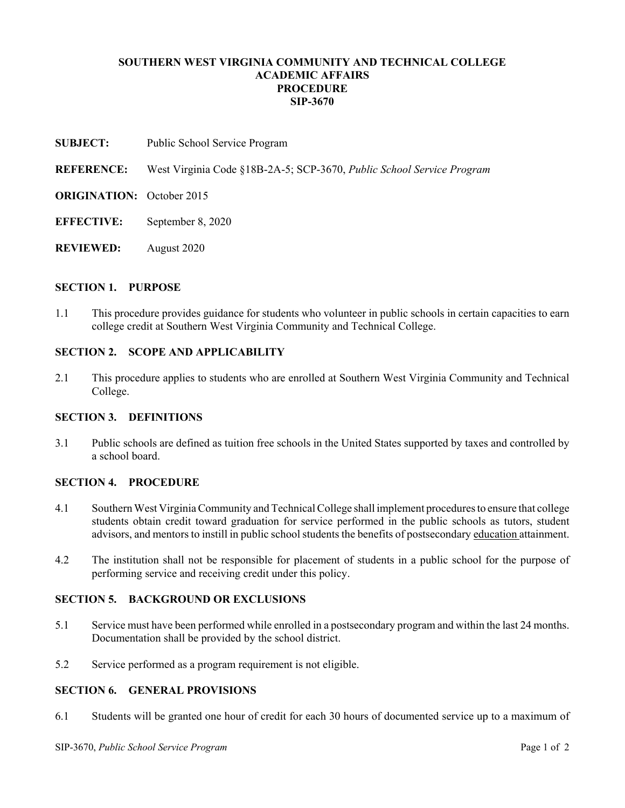### **SOUTHERN WEST VIRGINIA COMMUNITY AND TECHNICAL COLLEGE ACADEMIC AFFAIRS PROCEDURE SIP-3670**

**SUBJECT:** Public School Service Program

**REFERENCE:** West Virginia Code §18B-2A-5; SCP-3670, *Public School Service Program*

- **ORIGINATION:** October 2015
- **EFFECTIVE:** September 8, 2020
- **REVIEWED:** August 2020

#### **SECTION 1. PURPOSE**

1.1 This procedure provides guidance for students who volunteer in public schools in certain capacities to earn college credit at Southern West Virginia Community and Technical College.

### **SECTION 2. SCOPE AND APPLICABILITY**

2.1 This procedure applies to students who are enrolled at Southern West Virginia Community and Technical College.

### **SECTION 3. DEFINITIONS**

3.1 Public schools are defined as tuition free schools in the United States supported by taxes and controlled by a school board.

### **SECTION 4. PROCEDURE**

- 4.1 Southern West Virginia Community and Technical College shall implement procedures to ensure that college students obtain credit toward graduation for service performed in the public schools as tutors, student advisors, and mentors to instill in public school students the benefits of postsecondary education attainment.
- 4.2 The institution shall not be responsible for placement of students in a public school for the purpose of performing service and receiving credit under this policy.

### **SECTION 5. BACKGROUND OR EXCLUSIONS**

- 5.1 Service must have been performed while enrolled in a postsecondary program and within the last 24 months. Documentation shall be provided by the school district.
- 5.2 Service performed as a program requirement is not eligible.

## **SECTION 6. GENERAL PROVISIONS**

6.1 Students will be granted one hour of credit for each 30 hours of documented service up to a maximum of